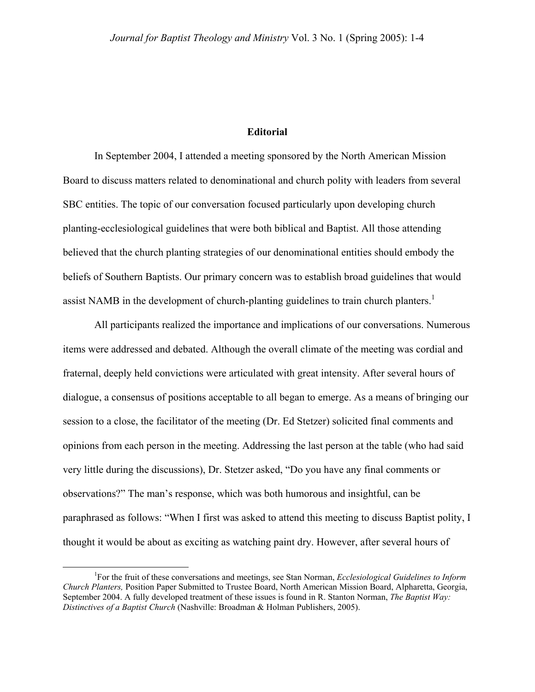## **Editorial**

In September 2004, I attended a meeting sponsored by the North American Mission Board to discuss matters related to denominational and church polity with leaders from several SBC entities. The topic of our conversation focused particularly upon developing church planting-ecclesiological guidelines that were both biblical and Baptist. All those attending believed that the church planting strategies of our denominational entities should embody the beliefs of Southern Baptists. Our primary concern was to establish broad guidelines that would assist NAMB in the development of church-planting guidelines to train church planters.<sup>[1](#page-0-0)</sup>

 All participants realized the importance and implications of our conversations. Numerous items were addressed and debated. Although the overall climate of the meeting was cordial and fraternal, deeply held convictions were articulated with great intensity. After several hours of dialogue, a consensus of positions acceptable to all began to emerge. As a means of bringing our session to a close, the facilitator of the meeting (Dr. Ed Stetzer) solicited final comments and opinions from each person in the meeting. Addressing the last person at the table (who had said very little during the discussions), Dr. Stetzer asked, "Do you have any final comments or observations?" The man's response, which was both humorous and insightful, can be paraphrased as follows: "When I first was asked to attend this meeting to discuss Baptist polity, I thought it would be about as exciting as watching paint dry. However, after several hours of

<span id="page-0-0"></span> $\begin{array}{c|c}\n\hline\n\end{array}$ For the fruit of these conversations and meetings, see Stan Norman, *Ecclesiological Guidelines to Inform Church Planters,* Position Paper Submitted to Trustee Board, North American Mission Board, Alpharetta, Georgia, September 2004. A fully developed treatment of these issues is found in R. Stanton Norman, *The Baptist Way: Distinctives of a Baptist Church* (Nashville: Broadman & Holman Publishers, 2005).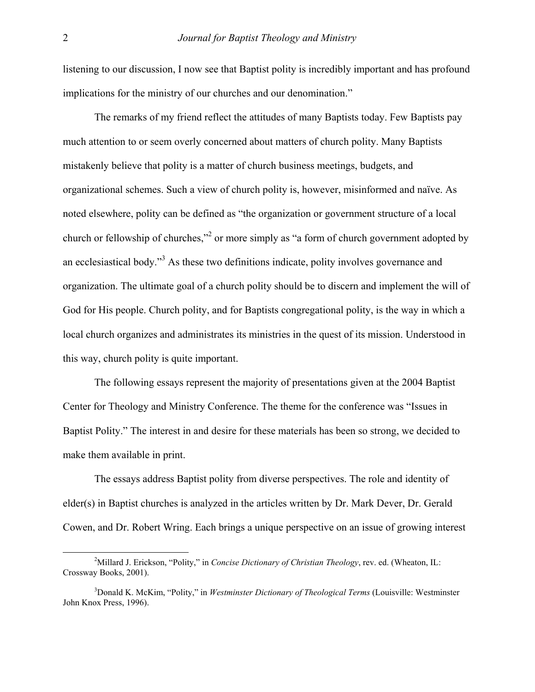listening to our discussion, I now see that Baptist polity is incredibly important and has profound implications for the ministry of our churches and our denomination."

 The remarks of my friend reflect the attitudes of many Baptists today. Few Baptists pay much attention to or seem overly concerned about matters of church polity. Many Baptists mistakenly believe that polity is a matter of church business meetings, budgets, and organizational schemes. Such a view of church polity is, however, misinformed and naïve. As noted elsewhere, polity can be defined as "the organization or government structure of a local churchor fellowship of churches,"<sup>2</sup> or more simply as "a form of church government adopted by an ecclesiastical body."<sup>[3](#page-1-1)</sup> As these two definitions indicate, polity involves governance and organization. The ultimate goal of a church polity should be to discern and implement the will of God for His people. Church polity, and for Baptists congregational polity, is the way in which a local church organizes and administrates its ministries in the quest of its mission. Understood in this way, church polity is quite important.

 The following essays represent the majority of presentations given at the 2004 Baptist Center for Theology and Ministry Conference. The theme for the conference was "Issues in Baptist Polity." The interest in and desire for these materials has been so strong, we decided to make them available in print.

 The essays address Baptist polity from diverse perspectives. The role and identity of elder(s) in Baptist churches is analyzed in the articles written by Dr. Mark Dever, Dr. Gerald Cowen, and Dr. Robert Wring. Each brings a unique perspective on an issue of growing interest

<span id="page-1-0"></span> $\frac{1}{2}$ <sup>2</sup>Millard J. Erickson, "Polity," in *Concise Dictionary of Christian Theology*, rev. ed. (Wheaton, IL: Crossway Books, 2001).

<span id="page-1-1"></span><sup>3</sup> Donald K. McKim, "Polity," in *Westminster Dictionary of Theological Terms* (Louisville: Westminster John Knox Press, 1996).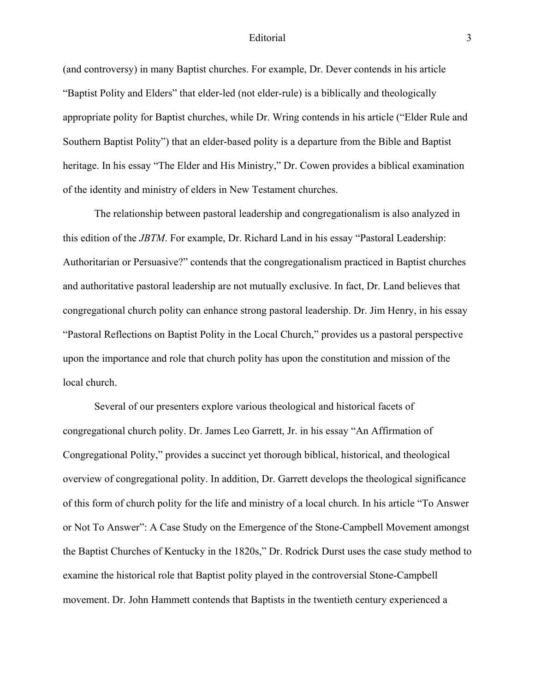## Editorial 3

(and controversy) in many Baptist churches. For example, Dr. Dever contends in his article "Baptist Polity and Elders" that elder-led (not elder-rule) is a biblically and theologically appropriate polity for Baptist churches, while Dr. Wring contends in his article ("Elder Rule and Southern Baptist Polity") that an elder-based polity is a departure from the Bible and Baptist heritage. In his essay "The Elder and His Ministry," Dr. Cowen provides a biblical examination of the identity and ministry of elders in New Testament churches.

The relationship between pastoral leadership and congregationalism is also analyzed in this edition of the *JBTM*. For example, Dr. Richard Land in his essay "Pastoral Leadership: Authoritarian or Persuasive?" contends that the congregationalism practiced in Baptist churches and authoritative pastoral leadership are not mutually exclusive. In fact, Dr. Land believes that congregational church polity can enhance strong pastoral leadership. Dr. Jim Henry, in his essay "Pastoral Reflections on Baptist Polity in the Local Church," provides us a pastoral perspective upon the importance and role that church polity has upon the constitution and mission of the local church.

Several of our presenters explore various theological and historical facets of congregational church polity. Dr. James Leo Garrett, Jr. in his essay "An Affirmation of Congregational Polity," provides a succinct yet thorough biblical, historical, and theological overview of congregational polity. In addition, Dr. Garrett develops the theological significance of this form of church polity for the life and ministry of a local church. In his article "To Answer or Not To Answer": A Case Study on the Emergence of the Stone-Campbell Movement amongst the Baptist Churches of Kentucky in the 1820s," Dr. Rodrick Durst uses the case study method to examine the historical role that Baptist polity played in the controversial Stone-Campbell movement. Dr. John Hammett contends that Baptists in the twentieth century experienced a